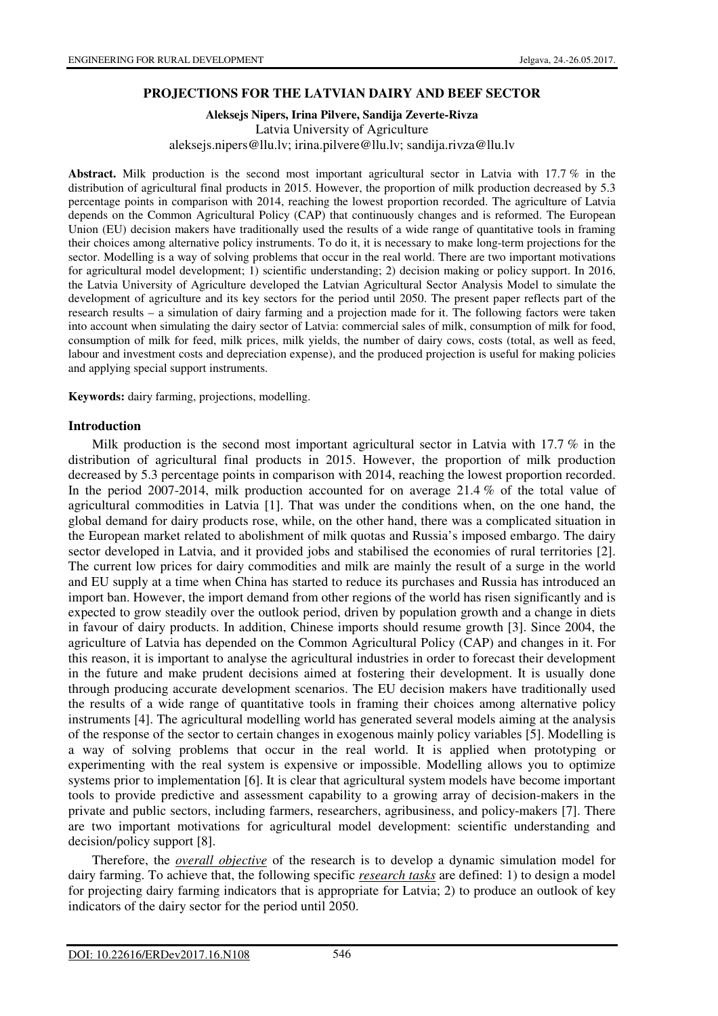### **PROJECTIONS FOR THE LATVIAN DAIRY AND BEEF SECTOR**

#### **Aleksejs Nipers, Irina Pilvere, Sandija Zeverte-Rivza**  Latvia University of Agriculture aleksejs.nipers@llu.lv; irina.pilvere@llu.lv; sandija.rivza@llu.lv

**Abstract.** Milk production is the second most important agricultural sector in Latvia with 17.7 % in the distribution of agricultural final products in 2015. However, the proportion of milk production decreased by 5.3 percentage points in comparison with 2014, reaching the lowest proportion recorded. The agriculture of Latvia depends on the Common Agricultural Policy (CAP) that continuously changes and is reformed. The European Union (EU) decision makers have traditionally used the results of a wide range of quantitative tools in framing their choices among alternative policy instruments. To do it, it is necessary to make long-term projections for the sector. Modelling is a way of solving problems that occur in the real world. There are two important motivations for agricultural model development; 1) scientific understanding; 2) decision making or policy support. In 2016, the Latvia University of Agriculture developed the Latvian Agricultural Sector Analysis Model to simulate the development of agriculture and its key sectors for the period until 2050. The present paper reflects part of the research results – a simulation of dairy farming and a projection made for it. The following factors were taken into account when simulating the dairy sector of Latvia: commercial sales of milk, consumption of milk for food, consumption of milk for feed, milk prices, milk yields, the number of dairy cows, costs (total, as well as feed, labour and investment costs and depreciation expense), and the produced projection is useful for making policies and applying special support instruments.

**Keywords:** dairy farming, projections, modelling.

### **Introduction**

Milk production is the second most important agricultural sector in Latvia with 17.7 % in the distribution of agricultural final products in 2015. However, the proportion of milk production decreased by 5.3 percentage points in comparison with 2014, reaching the lowest proportion recorded. In the period 2007-2014, milk production accounted for on average 21.4 % of the total value of agricultural commodities in Latvia [1]. That was under the conditions when, on the one hand, the global demand for dairy products rose, while, on the other hand, there was a complicated situation in the European market related to abolishment of milk quotas and Russia's imposed embargo. The dairy sector developed in Latvia, and it provided jobs and stabilised the economies of rural territories [2]. The current low prices for dairy commodities and milk are mainly the result of a surge in the world and EU supply at a time when China has started to reduce its purchases and Russia has introduced an import ban. However, the import demand from other regions of the world has risen significantly and is expected to grow steadily over the outlook period, driven by population growth and a change in diets in favour of dairy products. In addition, Chinese imports should resume growth [3]. Since 2004, the agriculture of Latvia has depended on the Common Agricultural Policy (CAP) and changes in it. For this reason, it is important to analyse the agricultural industries in order to forecast their development in the future and make prudent decisions aimed at fostering their development. It is usually done through producing accurate development scenarios. The EU decision makers have traditionally used the results of a wide range of quantitative tools in framing their choices among alternative policy instruments [4]. The agricultural modelling world has generated several models aiming at the analysis of the response of the sector to certain changes in exogenous mainly policy variables [5]. Modelling is a way of solving problems that occur in the real world. It is applied when prototyping or experimenting with the real system is expensive or impossible. Modelling allows you to optimize systems prior to implementation [6]. It is clear that agricultural system models have become important tools to provide predictive and assessment capability to a growing array of decision-makers in the private and public sectors, including farmers, researchers, agribusiness, and policy-makers [7]. There are two important motivations for agricultural model development: scientific understanding and decision/policy support [8].

Therefore, the *overall objective* of the research is to develop a dynamic simulation model for dairy farming. To achieve that, the following specific *research tasks* are defined: 1) to design a model for projecting dairy farming indicators that is appropriate for Latvia; 2) to produce an outlook of key indicators of the dairy sector for the period until 2050.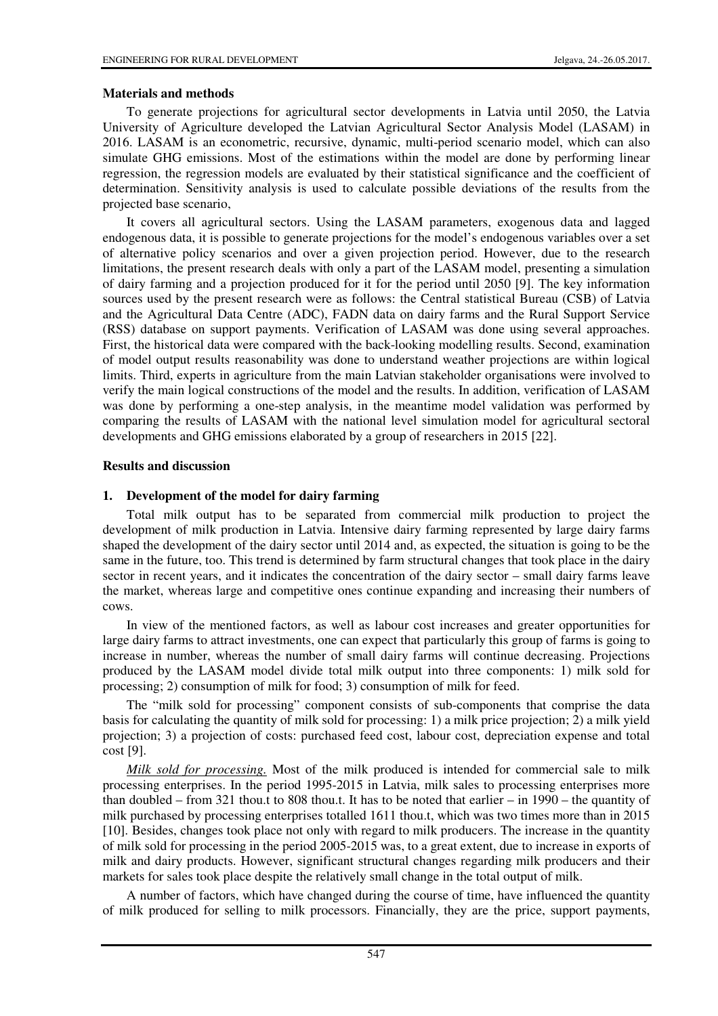### **Materials and methods**

To generate projections for agricultural sector developments in Latvia until 2050, the Latvia University of Agriculture developed the Latvian Agricultural Sector Analysis Model (LASAM) in 2016. LASAM is an econometric, recursive, dynamic, multi-period scenario model, which can also simulate GHG emissions. Most of the estimations within the model are done by performing linear regression, the regression models are evaluated by their statistical significance and the coefficient of determination. Sensitivity analysis is used to calculate possible deviations of the results from the projected base scenario,

It covers all agricultural sectors. Using the LASAM parameters, exogenous data and lagged endogenous data, it is possible to generate projections for the model's endogenous variables over a set of alternative policy scenarios and over a given projection period. However, due to the research limitations, the present research deals with only a part of the LASAM model, presenting a simulation of dairy farming and a projection produced for it for the period until 2050 [9]. The key information sources used by the present research were as follows: the Central statistical Bureau (CSB) of Latvia and the Agricultural Data Centre (ADC), FADN data on dairy farms and the Rural Support Service (RSS) database on support payments. Verification of LASAM was done using several approaches. First, the historical data were compared with the back-looking modelling results. Second, examination of model output results reasonability was done to understand weather projections are within logical limits. Third, experts in agriculture from the main Latvian stakeholder organisations were involved to verify the main logical constructions of the model and the results. In addition, verification of LASAM was done by performing a one-step analysis, in the meantime model validation was performed by comparing the results of LASAM with the national level simulation model for agricultural sectoral developments and GHG emissions elaborated by a group of researchers in 2015 [22].

## **Results and discussion**

# **1. Development of the model for dairy farming**

Total milk output has to be separated from commercial milk production to project the development of milk production in Latvia. Intensive dairy farming represented by large dairy farms shaped the development of the dairy sector until 2014 and, as expected, the situation is going to be the same in the future, too. This trend is determined by farm structural changes that took place in the dairy sector in recent years, and it indicates the concentration of the dairy sector – small dairy farms leave the market, whereas large and competitive ones continue expanding and increasing their numbers of cows.

In view of the mentioned factors, as well as labour cost increases and greater opportunities for large dairy farms to attract investments, one can expect that particularly this group of farms is going to increase in number, whereas the number of small dairy farms will continue decreasing. Projections produced by the LASAM model divide total milk output into three components: 1) milk sold for processing; 2) consumption of milk for food; 3) consumption of milk for feed.

The "milk sold for processing" component consists of sub-components that comprise the data basis for calculating the quantity of milk sold for processing: 1) a milk price projection; 2) a milk yield projection; 3) a projection of costs: purchased feed cost, labour cost, depreciation expense and total cost [9].

*Milk sold for processing.* Most of the milk produced is intended for commercial sale to milk processing enterprises. In the period 1995-2015 in Latvia, milk sales to processing enterprises more than doubled – from 321 thou.t to 808 thou.t. It has to be noted that earlier – in  $1990$  – the quantity of milk purchased by processing enterprises totalled 1611 thou.t, which was two times more than in 2015 [10]. Besides, changes took place not only with regard to milk producers. The increase in the quantity of milk sold for processing in the period 2005-2015 was, to a great extent, due to increase in exports of milk and dairy products. However, significant structural changes regarding milk producers and their markets for sales took place despite the relatively small change in the total output of milk.

A number of factors, which have changed during the course of time, have influenced the quantity of milk produced for selling to milk processors. Financially, they are the price, support payments,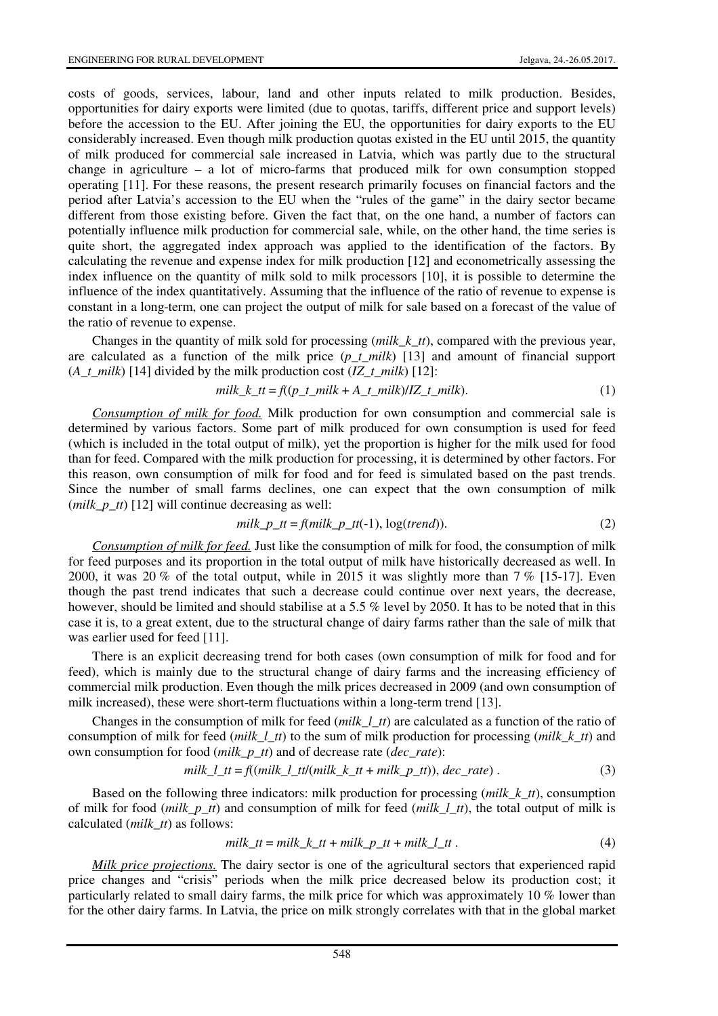costs of goods, services, labour, land and other inputs related to milk production. Besides, opportunities for dairy exports were limited (due to quotas, tariffs, different price and support levels) before the accession to the EU. After joining the EU, the opportunities for dairy exports to the EU considerably increased. Even though milk production quotas existed in the EU until 2015, the quantity of milk produced for commercial sale increased in Latvia, which was partly due to the structural change in agriculture – a lot of micro-farms that produced milk for own consumption stopped operating [11]. For these reasons, the present research primarily focuses on financial factors and the period after Latvia's accession to the EU when the "rules of the game" in the dairy sector became different from those existing before. Given the fact that, on the one hand, a number of factors can potentially influence milk production for commercial sale, while, on the other hand, the time series is quite short, the aggregated index approach was applied to the identification of the factors. By calculating the revenue and expense index for milk production [12] and econometrically assessing the index influence on the quantity of milk sold to milk processors [10], it is possible to determine the influence of the index quantitatively. Assuming that the influence of the ratio of revenue to expense is constant in a long-term, one can project the output of milk for sale based on a forecast of the value of the ratio of revenue to expense.

Changes in the quantity of milk sold for processing (*milk\_k\_tt*), compared with the previous year, are calculated as a function of the milk price  $(p \ t \ milk)$  [13] and amount of financial support (*A\_t\_milk*) [14] divided by the milk production cost (*IZ\_t\_milk*) [12]:

$$
milk_k_t = f((p_t_milk + A_t_milk)/IZ_t_milk). \tag{1}
$$

*Consumption of milk for food.* Milk production for own consumption and commercial sale is determined by various factors. Some part of milk produced for own consumption is used for feed (which is included in the total output of milk), yet the proportion is higher for the milk used for food than for feed. Compared with the milk production for processing, it is determined by other factors. For this reason, own consumption of milk for food and for feed is simulated based on the past trends. Since the number of small farms declines, one can expect that the own consumption of milk (*milk p\_tt*) [12] will continue decreasing as well:

$$
milk\_p_t = f(milk\_p_t(t-1), \log(trend)).
$$
\n<sup>(2)</sup>

*Consumption of milk for feed.* Just like the consumption of milk for food, the consumption of milk for feed purposes and its proportion in the total output of milk have historically decreased as well. In 2000, it was 20 % of the total output, while in 2015 it was slightly more than 7 % [15-17]. Even though the past trend indicates that such a decrease could continue over next years, the decrease, however, should be limited and should stabilise at a 5.5 % level by 2050. It has to be noted that in this case it is, to a great extent, due to the structural change of dairy farms rather than the sale of milk that was earlier used for feed [11].

There is an explicit decreasing trend for both cases (own consumption of milk for food and for feed), which is mainly due to the structural change of dairy farms and the increasing efficiency of commercial milk production. Even though the milk prices decreased in 2009 (and own consumption of milk increased), these were short-term fluctuations within a long-term trend [13].

Changes in the consumption of milk for feed (*milk\_l\_tt*) are calculated as a function of the ratio of consumption of milk for feed (*milk\_l\_tt*) to the sum of milk production for processing (*milk\_k\_tt*) and own consumption for food (*milk\_p\_tt*) and of decrease rate (*dec\_rate*):

$$
milk_l_t = f((milk_l_t_t)(milk_k_t_t + milk_p_t))
$$
,  $dec_tate)$ . (3)

Based on the following three indicators: milk production for processing (*milk\_k\_tt*), consumption of milk for food (*milk\_p\_tt*) and consumption of milk for feed (*milk\_l\_tt*), the total output of milk is calculated (*milk\_tt*) as follows:

$$
milk_t = milk_k_t + milk_t_t + milk_t_t
$$
\n
$$
(4)
$$

*Milk price projections.* The dairy sector is one of the agricultural sectors that experienced rapid price changes and "crisis" periods when the milk price decreased below its production cost; it particularly related to small dairy farms, the milk price for which was approximately 10 % lower than for the other dairy farms. In Latvia, the price on milk strongly correlates with that in the global market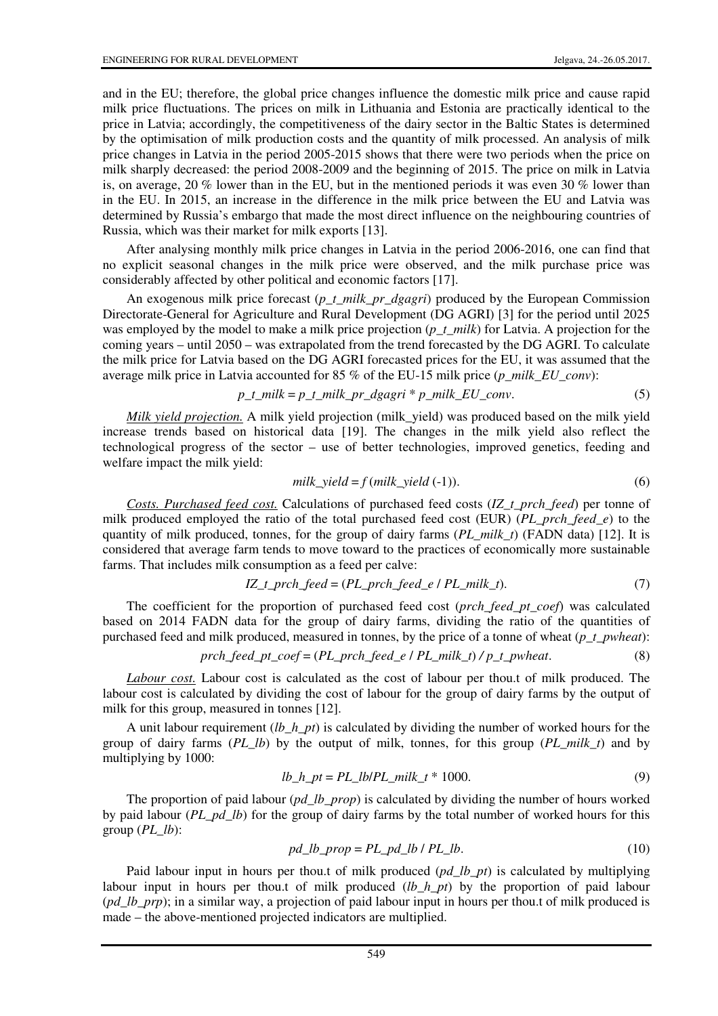and in the EU; therefore, the global price changes influence the domestic milk price and cause rapid milk price fluctuations. The prices on milk in Lithuania and Estonia are practically identical to the price in Latvia; accordingly, the competitiveness of the dairy sector in the Baltic States is determined by the optimisation of milk production costs and the quantity of milk processed. An analysis of milk price changes in Latvia in the period 2005-2015 shows that there were two periods when the price on milk sharply decreased: the period 2008-2009 and the beginning of 2015. The price on milk in Latvia is, on average, 20 % lower than in the EU, but in the mentioned periods it was even 30 % lower than in the EU. In 2015, an increase in the difference in the milk price between the EU and Latvia was determined by Russia's embargo that made the most direct influence on the neighbouring countries of Russia, which was their market for milk exports [13].

After analysing monthly milk price changes in Latvia in the period 2006-2016, one can find that no explicit seasonal changes in the milk price were observed, and the milk purchase price was considerably affected by other political and economic factors [17].

An exogenous milk price forecast (*p\_t\_milk\_pr\_dgagri*) produced by the European Commission Directorate-General for Agriculture and Rural Development (DG AGRI) [3] for the period until 2025 was employed by the model to make a milk price projection (*p\_t\_milk*) for Latvia. A projection for the coming years – until 2050 – was extrapolated from the trend forecasted by the DG AGRI. To calculate the milk price for Latvia based on the DG AGRI forecasted prices for the EU, it was assumed that the average milk price in Latvia accounted for 85 % of the EU-15 milk price (*p\_milk\_EU\_conv*):

$$
p_t_milk = p_t_milk_pr_dgagri * p_milk_EU_{conv}.
$$
\n(5)

*Milk yield projection.* A milk yield projection (milk\_yield) was produced based on the milk yield increase trends based on historical data [19]. The changes in the milk yield also reflect the technological progress of the sector – use of better technologies, improved genetics, feeding and welfare impact the milk yield:

$$
milk\_yield = f(milk\_yield (-1)).
$$
\n<sup>(6)</sup>

*Costs. Purchased feed cost.* Calculations of purchased feed costs (*IZ\_t\_prch\_feed*) per tonne of milk produced employed the ratio of the total purchased feed cost (EUR) (*PL\_prch\_feed\_e*) to the quantity of milk produced, tonnes, for the group of dairy farms (*PL\_milk\_t*) (FADN data) [12]. It is considered that average farm tends to move toward to the practices of economically more sustainable farms. That includes milk consumption as a feed per calve:

$$
IZ_t\_\text{proh}\_\text{feed} = (PL\_\text{proh}\_\text{feed}\_\text{el}\_\text{PL}\_\text{milk}\_\text{t}).\tag{7}
$$

The coefficient for the proportion of purchased feed cost (*prch\_feed\_pt\_coef*) was calculated based on 2014 FADN data for the group of dairy farms, dividing the ratio of the quantities of purchased feed and milk produced, measured in tonnes, by the price of a tonne of wheat (*p\_t\_pwheat*):

$$
prch\_feed\_pt\_coef = (PL\_prch\_feed\_e / PL\_milk\_t) / p\_t\_pwheat.
$$
\n(8)

*Labour cost.* Labour cost is calculated as the cost of labour per thou.t of milk produced. The labour cost is calculated by dividing the cost of labour for the group of dairy farms by the output of milk for this group, measured in tonnes [12].

A unit labour requirement (*lb\_h\_pt*) is calculated by dividing the number of worked hours for the group of dairy farms (*PL\_lb*) by the output of milk, tonnes, for this group (*PL\_milk\_t*) and by multiplying by 1000:

$$
lb\_h\_pt = PL\_lb/PL\_milk\_t * 1000.
$$
\n<sup>(9)</sup>

The proportion of paid labour (*pd\_lb\_prop*) is calculated by dividing the number of hours worked by paid labour (*PL\_pd\_lb*) for the group of dairy farms by the total number of worked hours for this group (*PL\_lb*):

$$
pd\_lb\_prop = PL\_pd\_lb / PL\_lb.
$$
\n<sup>(10)</sup>

Paid labour input in hours per thou.t of milk produced (*pd\_lb\_pt*) is calculated by multiplying labour input in hours per thou.t of milk produced (*lb\_h\_pt*) by the proportion of paid labour (*pd\_lb\_prp*); in a similar way, a projection of paid labour input in hours per thou.t of milk produced is made – the above-mentioned projected indicators are multiplied.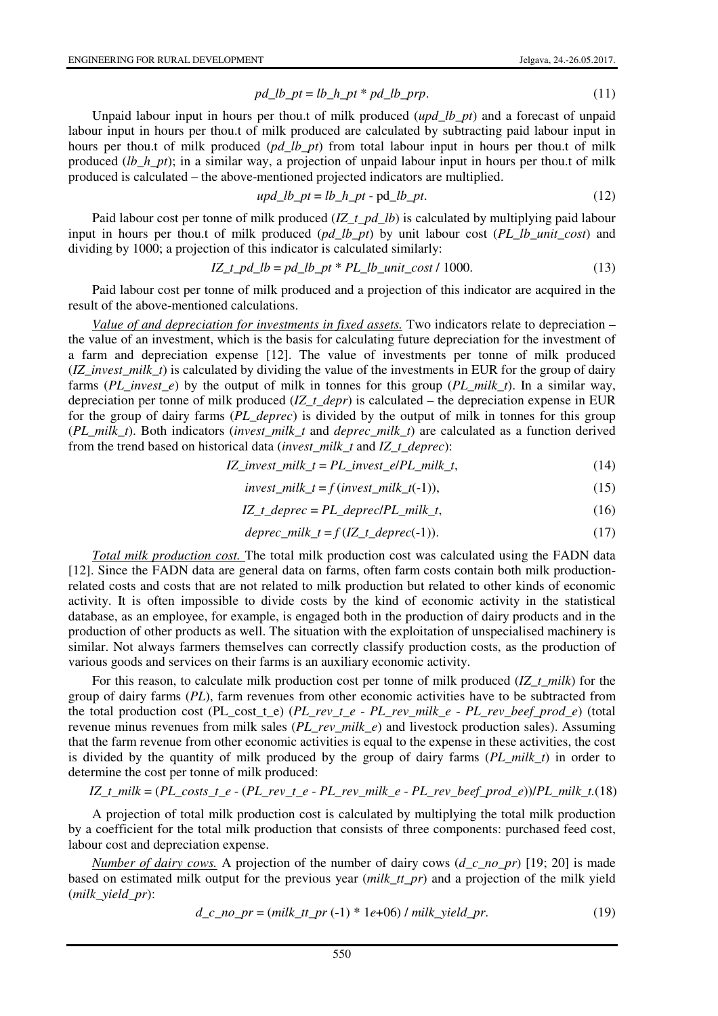$$
pd\_lb\_pt = lb\_h\_pt * pd\_lb\_prp. \tag{11}
$$

Unpaid labour input in hours per thou.t of milk produced (*upd\_lb\_pt*) and a forecast of unpaid labour input in hours per thou.t of milk produced are calculated by subtracting paid labour input in hours per thou.t of milk produced (*pd\_lb\_pt*) from total labour input in hours per thou.t of milk produced (*lb\_h\_pt*); in a similar way, a projection of unpaid labour input in hours per thou.t of milk produced is calculated – the above-mentioned projected indicators are multiplied.

$$
upd\_lb\_pt = lb\_h\_pt - pd\_lb\_pt. \tag{12}
$$

Paid labour cost per tonne of milk produced (*IZ\_t\_pd\_lb*) is calculated by multiplying paid labour input in hours per thou.t of milk produced (*pd\_lb\_pt*) by unit labour cost (*PL\_lb\_unit\_cost*) and dividing by 1000; a projection of this indicator is calculated similarly:

$$
IZ_t_p d_l = pd_l b_p t * PL_l b_l unit_c cost / 1000.
$$
\n
$$
(13)
$$

Paid labour cost per tonne of milk produced and a projection of this indicator are acquired in the result of the above-mentioned calculations.

*Value of and depreciation for investments in fixed assets.* Two indicators relate to depreciation – the value of an investment, which is the basis for calculating future depreciation for the investment of a farm and depreciation expense [12]. The value of investments per tonne of milk produced (*IZ\_invest\_milk\_t*) is calculated by dividing the value of the investments in EUR for the group of dairy farms (*PL\_invest\_e*) by the output of milk in tonnes for this group (*PL\_milk\_t*). In a similar way, depreciation per tonne of milk produced (*IZ\_t\_depr*) is calculated – the depreciation expense in EUR for the group of dairy farms (*PL\_deprec*) is divided by the output of milk in tonnes for this group (*PL\_milk\_t*). Both indicators (*invest\_milk\_t* and *deprec\_milk\_t*) are calculated as a function derived from the trend based on historical data (*invest\_milk\_t* and *IZ\_t\_deprec*):

$$
IZ\_invest\_milk_t = PL\_invest_e/PL\_milk_t,
$$
\n(14)

$$
invest\_milk_t = f(invest\_milk_t(-1)),
$$
\n(15)

$$
IZ_t \_degree = PL \_degree / PL\_milk_t,
$$
\n<sup>(16)</sup>

$$
degree\_milk_t = f(IZ_t\_degree(-1)).
$$
\n(17)

*Total milk production cost.* The total milk production cost was calculated using the FADN data [12]. Since the FADN data are general data on farms, often farm costs contain both milk productionrelated costs and costs that are not related to milk production but related to other kinds of economic activity. It is often impossible to divide costs by the kind of economic activity in the statistical database, as an employee, for example, is engaged both in the production of dairy products and in the production of other products as well. The situation with the exploitation of unspecialised machinery is similar. Not always farmers themselves can correctly classify production costs, as the production of various goods and services on their farms is an auxiliary economic activity.

For this reason, to calculate milk production cost per tonne of milk produced (*IZ\_t\_milk*) for the group of dairy farms (*PL*), farm revenues from other economic activities have to be subtracted from the total production cost (PL\_cost\_t\_e) (*PL\_rev\_t\_e* - *PL\_rev\_milk\_e* - *PL\_rev\_beef\_prod\_e*) (total revenue minus revenues from milk sales (*PL\_rev\_milk\_e*) and livestock production sales). Assuming that the farm revenue from other economic activities is equal to the expense in these activities, the cost is divided by the quantity of milk produced by the group of dairy farms (*PL\_milk\_t*) in order to determine the cost per tonne of milk produced:

$$
IZ_t\_milk = (PL\_costs_t_e - (PL\_rev_t_e - PL\_rev\_milk_e - PL\_rev\_beef\_prod_e))/PL\_milk_t.(18)
$$

A projection of total milk production cost is calculated by multiplying the total milk production by a coefficient for the total milk production that consists of three components: purchased feed cost, labour cost and depreciation expense.

*Number of dairy cows.* A projection of the number of dairy cows (*d\_c\_no\_pr*) [19; 20] is made based on estimated milk output for the previous year (*milk\_tt\_pr*) and a projection of the milk yield (*milk\_yield\_pr*):

$$
d_c\_no\_pr = (milk\_tt\_pr(-1) * 1e+06) / milk\_yield\_pr.
$$
\n(19)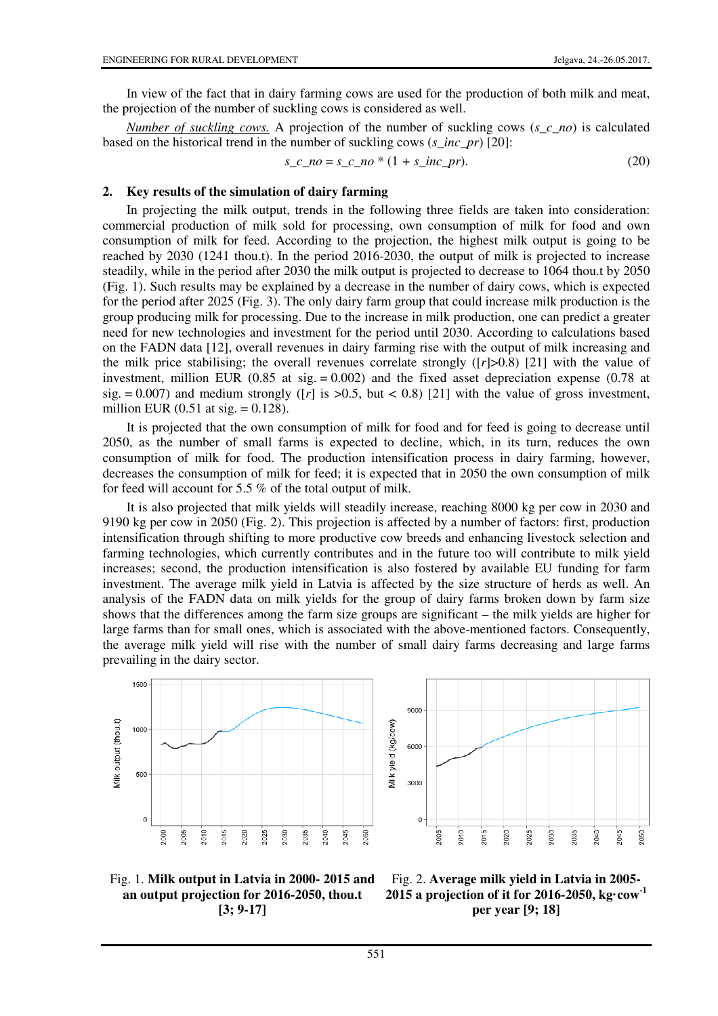In view of the fact that in dairy farming cows are used for the production of both milk and meat, the projection of the number of suckling cows is considered as well.

*Number of suckling cows.* A projection of the number of suckling cows (*s\_c\_no*) is calculated based on the historical trend in the number of suckling cows (*s\_inc\_pr*) [20]:

$$
s_c \_no = s_c \_no * (1 + s_c inc\_pr). \tag{20}
$$

#### **2. Key results of the simulation of dairy farming**

In projecting the milk output, trends in the following three fields are taken into consideration: commercial production of milk sold for processing, own consumption of milk for food and own consumption of milk for feed. According to the projection, the highest milk output is going to be reached by 2030 (1241 thou.t). In the period 2016-2030, the output of milk is projected to increase steadily, while in the period after 2030 the milk output is projected to decrease to 1064 thou.t by 2050 (Fig. 1). Such results may be explained by a decrease in the number of dairy cows, which is expected for the period after 2025 (Fig. 3). The only dairy farm group that could increase milk production is the group producing milk for processing. Due to the increase in milk production, one can predict a greater need for new technologies and investment for the period until 2030. According to calculations based on the FADN data [12], overall revenues in dairy farming rise with the output of milk increasing and the milk price stabilising; the overall revenues correlate strongly  $([r] > 0.8)$  [21] with the value of investment, million EUR  $(0.85$  at sig.  $= 0.002$ ) and the fixed asset depreciation expense  $(0.78$  at sig.  $= 0.007$ ) and medium strongly ([*r*] is  $> 0.5$ , but < 0.8) [21] with the value of gross investment, million EUR  $(0.51 \text{ at sig.} = 0.128)$ .

It is projected that the own consumption of milk for food and for feed is going to decrease until 2050, as the number of small farms is expected to decline, which, in its turn, reduces the own consumption of milk for food. The production intensification process in dairy farming, however, decreases the consumption of milk for feed; it is expected that in 2050 the own consumption of milk for feed will account for 5.5 % of the total output of milk.

It is also projected that milk yields will steadily increase, reaching 8000 kg per cow in 2030 and 9190 kg per cow in 2050 (Fig. 2). This projection is affected by a number of factors: first, production intensification through shifting to more productive cow breeds and enhancing livestock selection and farming technologies, which currently contributes and in the future too will contribute to milk yield increases; second, the production intensification is also fostered by available EU funding for farm investment. The average milk yield in Latvia is affected by the size structure of herds as well. An analysis of the FADN data on milk yields for the group of dairy farms broken down by farm size shows that the differences among the farm size groups are significant – the milk yields are higher for large farms than for small ones, which is associated with the above-mentioned factors. Consequently, the average milk yield will rise with the number of small dairy farms decreasing and large farms prevailing in the dairy sector.







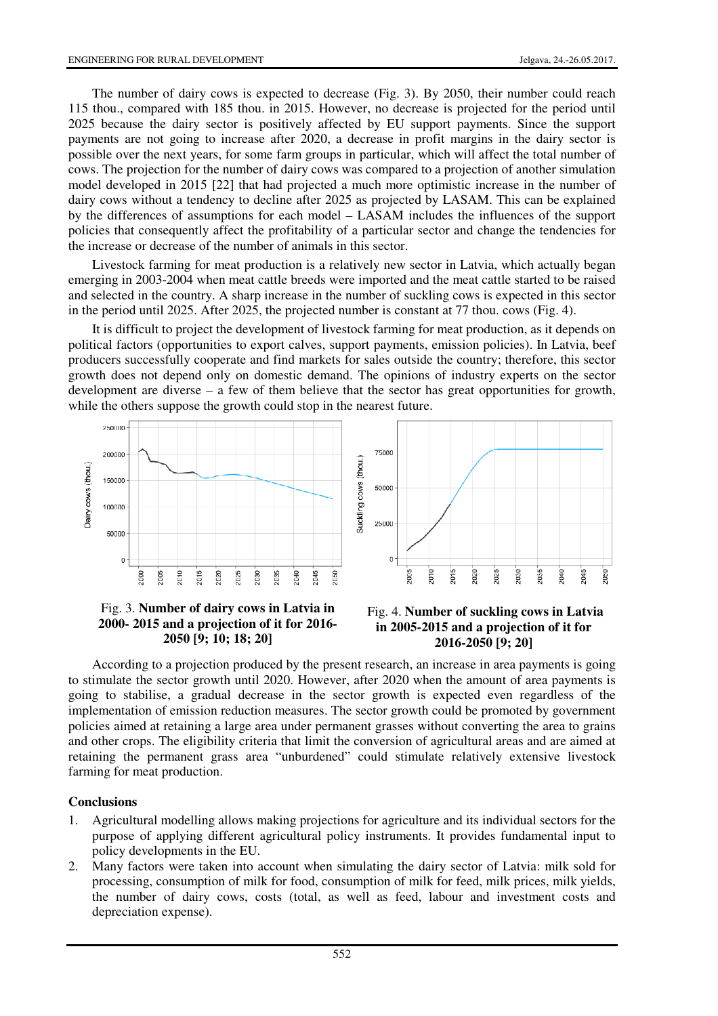The number of dairy cows is expected to decrease (Fig. 3). By 2050, their number could reach 115 thou., compared with 185 thou. in 2015. However, no decrease is projected for the period until 2025 because the dairy sector is positively affected by EU support payments. Since the support payments are not going to increase after 2020, a decrease in profit margins in the dairy sector is possible over the next years, for some farm groups in particular, which will affect the total number of cows. The projection for the number of dairy cows was compared to a projection of another simulation model developed in 2015 [22] that had projected a much more optimistic increase in the number of dairy cows without a tendency to decline after 2025 as projected by LASAM. This can be explained by the differences of assumptions for each model – LASAM includes the influences of the support policies that consequently affect the profitability of a particular sector and change the tendencies for the increase or decrease of the number of animals in this sector.

Livestock farming for meat production is a relatively new sector in Latvia, which actually began emerging in 2003-2004 when meat cattle breeds were imported and the meat cattle started to be raised and selected in the country. A sharp increase in the number of suckling cows is expected in this sector in the period until 2025. After 2025, the projected number is constant at 77 thou. cows (Fig. 4).

It is difficult to project the development of livestock farming for meat production, as it depends on political factors (opportunities to export calves, support payments, emission policies). In Latvia, beef producers successfully cooperate and find markets for sales outside the country; therefore, this sector growth does not depend only on domestic demand. The opinions of industry experts on the sector development are diverse – a few of them believe that the sector has great opportunities for growth, while the others suppose the growth could stop in the nearest future.



### Fig. 3. **Number of dairy cows in Latvia in 2000- 2015 and a projection of it for 2016- 2050 [9; 10; 18; 20]**



According to a projection produced by the present research, an increase in area payments is going to stimulate the sector growth until 2020. However, after 2020 when the amount of area payments is going to stabilise, a gradual decrease in the sector growth is expected even regardless of the implementation of emission reduction measures. The sector growth could be promoted by government policies aimed at retaining a large area under permanent grasses without converting the area to grains and other crops. The eligibility criteria that limit the conversion of agricultural areas and are aimed at retaining the permanent grass area "unburdened" could stimulate relatively extensive livestock farming for meat production.

### **Conclusions**

- 1. Agricultural modelling allows making projections for agriculture and its individual sectors for the purpose of applying different agricultural policy instruments. It provides fundamental input to policy developments in the EU.
- 2. Many factors were taken into account when simulating the dairy sector of Latvia: milk sold for processing, consumption of milk for food, consumption of milk for feed, milk prices, milk yields, the number of dairy cows, costs (total, as well as feed, labour and investment costs and depreciation expense).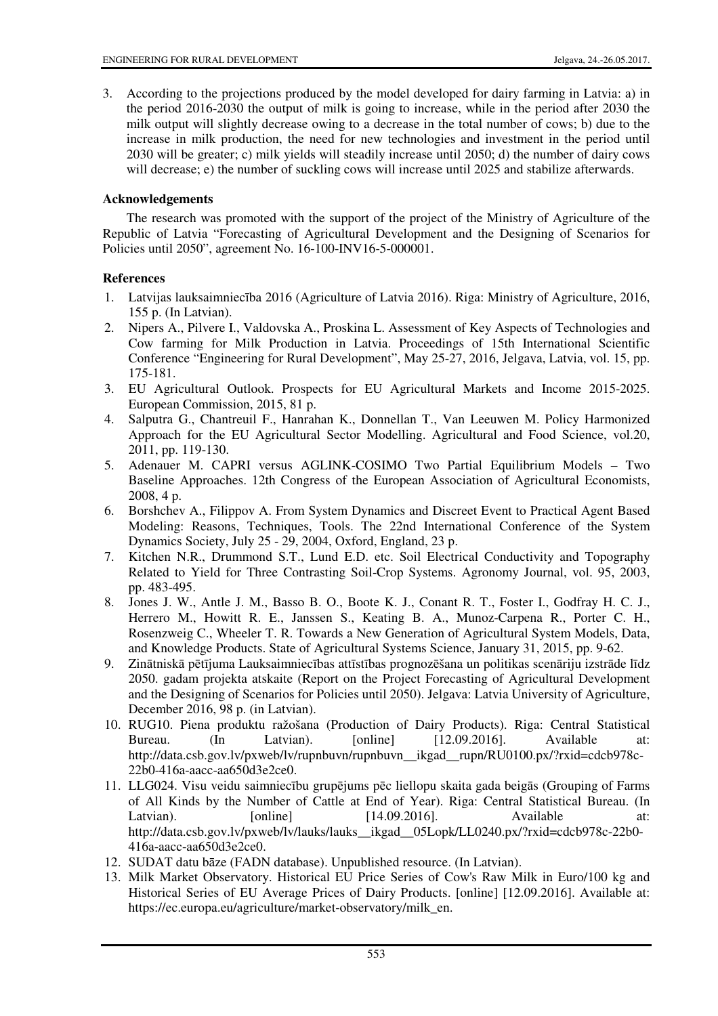3. According to the projections produced by the model developed for dairy farming in Latvia: a) in the period 2016-2030 the output of milk is going to increase, while in the period after 2030 the milk output will slightly decrease owing to a decrease in the total number of cows; b) due to the increase in milk production, the need for new technologies and investment in the period until 2030 will be greater; c) milk yields will steadily increase until 2050; d) the number of dairy cows will decrease; e) the number of suckling cows will increase until 2025 and stabilize afterwards.

## **Acknowledgements**

The research was promoted with the support of the project of the Ministry of Agriculture of the Republic of Latvia "Forecasting of Agricultural Development and the Designing of Scenarios for Policies until 2050", agreement No. 16-100-INV16-5-000001.

## **References**

- 1. Latvijas lauksaimniecība 2016 (Agriculture of Latvia 2016). Riga: Ministry of Agriculture, 2016, 155 p. (In Latvian).
- 2. Nipers A., Pilvere I., Valdovska A., Proskina L. Assessment of Key Aspects of Technologies and Cow farming for Milk Production in Latvia. Proceedings of 15th International Scientific Conference "Engineering for Rural Development", May 25-27, 2016, Jelgava, Latvia, vol. 15, pp. 175-181.
- 3. EU Agricultural Outlook. Prospects for EU Agricultural Markets and Income 2015-2025. European Commission, 2015, 81 p.
- 4. Salputra G., Chantreuil F., Hanrahan K., Donnellan T., Van Leeuwen M. Policy Harmonized Approach for the EU Agricultural Sector Modelling. Agricultural and Food Science, vol.20, 2011, pp. 119-130.
- 5. Adenauer M. CAPRI versus AGLINK-COSIMO Two Partial Equilibrium Models Two Baseline Approaches. 12th Congress of the European Association of Agricultural Economists, 2008, 4 p.
- 6. Borshchev A., Filippov A. From System Dynamics and Discreet Event to Practical Agent Based Modeling: Reasons, Techniques, Tools. The 22nd International Conference of the System Dynamics Society, July 25 - 29, 2004, Oxford, England, 23 p.
- 7. Kitchen N.R., Drummond S.T., Lund E.D. etc. Soil Electrical Conductivity and Topography Related to Yield for Three Contrasting Soil-Crop Systems. Agronomy Journal, vol. 95, 2003, pp. 483-495.
- 8. Jones J. W., Antle J. M., Basso B. O., Boote K. J., Conant R. T., Foster I., Godfray H. C. J., Herrero M., Howitt R. E., Janssen S., Keating B. A., Munoz-Carpena R., Porter C. H., Rosenzweig C., Wheeler T. R. Towards a New Generation of Agricultural System Models, Data, and Knowledge Products. State of Agricultural Systems Science, January 31, 2015, pp. 9-62.
- 9. Zinātniskā pētījuma Lauksaimniecības attīstības prognozēšana un politikas scenāriju izstrāde līdz 2050. gadam projekta atskaite (Report on the Project Forecasting of Agricultural Development and the Designing of Scenarios for Policies until 2050). Jelgava: Latvia University of Agriculture, December 2016, 98 p. (in Latvian).
- 10. RUG10. Piena produktu ražošana (Production of Dairy Products). Riga: Central Statistical Bureau. (In Latvian). [online] [12.09.2016]. Available at: http://data.csb.gov.lv/pxweb/lv/rupnbuvn/rupnbuvn\_\_ikgad\_\_rupn/RU0100.px/?rxid=cdcb978c-22b0-416a-aacc-aa650d3e2ce0.
- 11. LLG024. Visu veidu saimniecību grupējums pēc liellopu skaita gada beigās (Grouping of Farms of All Kinds by the Number of Cattle at End of Year). Riga: Central Statistical Bureau. (In Latvian). [online] [14.09.2016]. Available at: http://data.csb.gov.lv/pxweb/lv/lauks/lauks\_\_ikgad\_\_05Lopk/LL0240.px/?rxid=cdcb978c-22b0- 416a-aacc-aa650d3e2ce0.
- 12. SUDAT datu bāze (FADN database). Unpublished resource. (In Latvian).
- 13. Milk Market Observatory. Historical EU Price Series of Cow's Raw Milk in Euro/100 kg and Historical Series of EU Average Prices of Dairy Products. [online] [12.09.2016]. Available at: https://ec.europa.eu/agriculture/market-observatory/milk\_en.